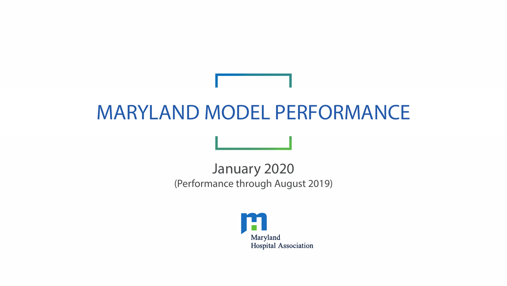# MARYLAND MODEL PERFORMANCE

January 2020 (Performance through August 2019)

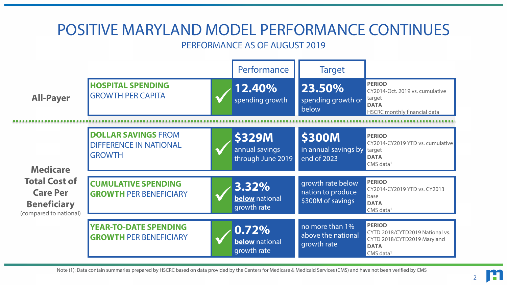#### POSITIVE MARYLAND MODEL PERFORMANCE CONTINUES PERFORMANCE AS OF AUGUST 2019 Performance | Target **HOSPITAL SPENDING HOSPITAL SPENDING<br>GROWTH PER CAPITA TEXAS Spending groves** spending growth **23.50%** spending growth or below **PERIOD** CY2014-Oct. 2019 vs. cumulative target **DATA** HSCRC monthly financial data **DOLLAR SAVINGS** FROM DIFFERENCE IN NATIONAL **S329M**<br>
DIFFERENCE IN NATIONAL<br>
GROWTH through June annual savings through June 2019 **\$300M** in annual savings by end of 2023 **PERIOD** CY2014-CY2019 YTD vs. cumulative target **DATA** CMS data<sup>1</sup> **CUMULATIVE SPENDING GROWTH PER BENEFICIARY 3.32% below** national growth rate growth rate below nation to produce \$300M of savings **PERIOD** CY2014-CY2019 YTD vs. CY2013 base **DATA**  $CMS$  data<sup>1</sup> **YEAR-TO-DATE SPENDING GROWTH PER BENEFICIARY 1999 10.72% below** national growth rate no more than 1% above the national growth rate **PERIOD** CYTD 2018/CYTD2019 National vs. CYTD 2018/CYTD2019 Maryland **DATA**  $CMS$  data<sup>1</sup> **All-Payer Medicare Total Cost of Care Per Beneficiary** (compared to national)

Note (1): Data contain summaries prepared by HSCRC based on data provided by the Centers for Medicare & Medicaid Services (CMS) and have not been verified by CMS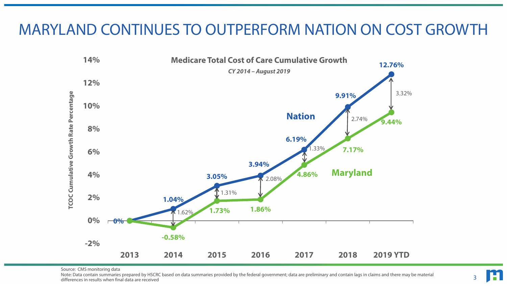## MARYLAND CONTINUES TO OUTPERFORM NATION ON COST GROWTH



Source: CMS monitoring data

Note: Data contain summaries prepared by HSCRC based on data summaries provided by the federal government; data are preliminary and contain lags in claims and there may be material differences in results when final data are received

3

H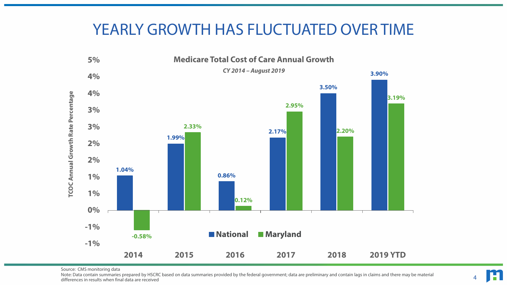## YEARLY GROWTH HAS FLUCTUATED OVER TIME



Source: CMS monitoring data

Note: Data contain summaries prepared by HSCRC based on data summaries provided by the federal government; data are preliminary and contain lags in claims and there may be material differences in results when final data are received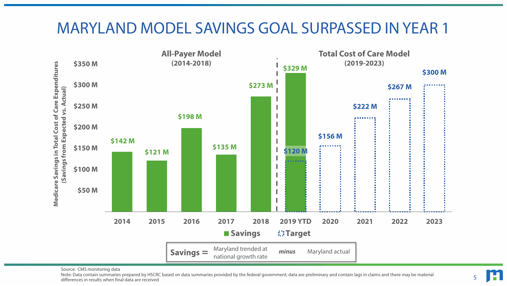### MARYLAND MODEL SAVINGS GOAL SURPASSED IN YEAR 1



Source: CMS monitoring data

Note: Data contain summaries prepared by HSCRC based on data summaries provided by the federal government; data are preliminary and contain lags in claims and there may be material differences in results when final data are received

5

H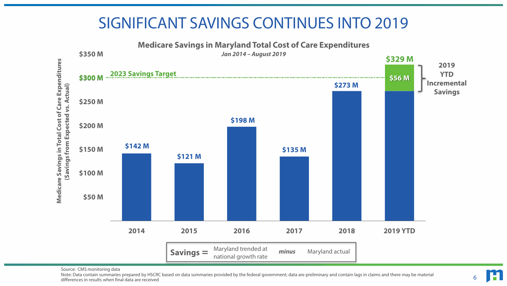# SIGNIFICANT SAVINGS CONTINUES INTO 2019



Source: CMS monitoring data

Note: Data contain summaries prepared by HSCRC based on data summaries provided by the federal government; data are preliminary and contain lags in claims and there may be material differences in results when final data are received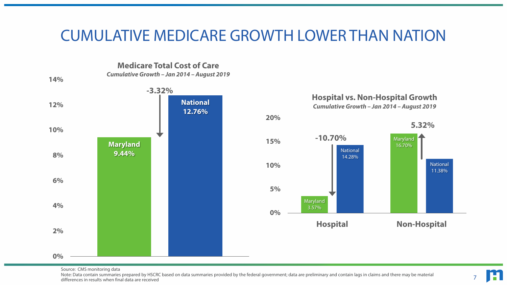### CUMULATIVE MEDICARE GROWTH LOWER THAN NATION

**Medicare Total Cost of Care** *Cumulative Growth – Jan 2014 – August 2019*





Source: CMS monitoring data

Note: Data contain summaries prepared by HSCRC based on data summaries provided by the federal government; data are preliminary and contain lags in claims and there may be material differences in results when final data are received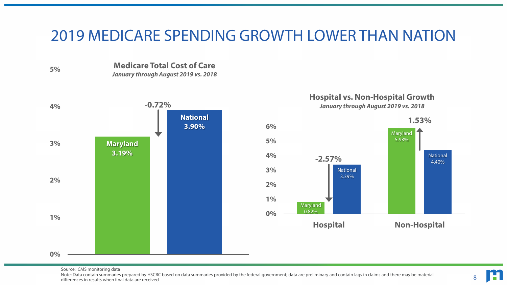#### 2019 MEDICARE SPENDING GROWTH LOWER THAN NATION



**Maryland 3.19% -0.72% National 3.90% 0% 1% 2% 3% 4%**





8

Source: CMS monitoring data

Note: Data contain summaries prepared by HSCRC based on data summaries provided by the federal government; data are preliminary and contain lags in claims and there may be material differences in results when final data are received